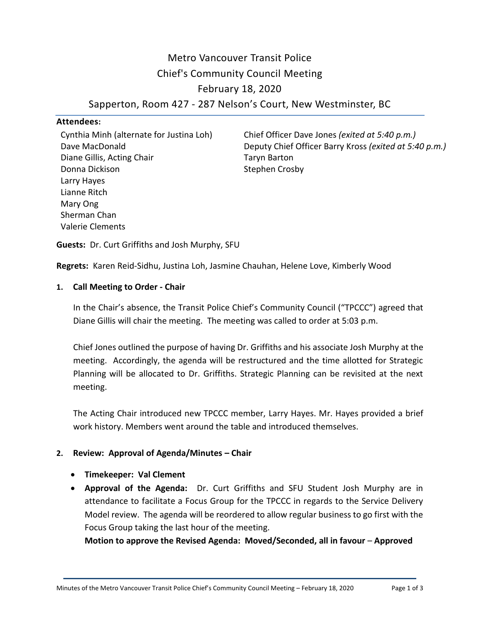Metro Vancouver Transit Police Chief's Community Council Meeting February 18, 2020

Sapperton, Room 427 - 287 Nelson's Court, New Westminster, BC

# **Attendees:**

Cynthia Minh (alternate for Justina Loh) Dave MacDonald Diane Gillis, Acting Chair Donna Dickison Larry Hayes Lianne Ritch Mary Ong Sherman Chan Valerie Clements

Chief Officer Dave Jones *(exited at 5:40 p.m.)* Deputy Chief Officer Barry Kross *(exited at 5:40 p.m.)* Taryn Barton Stephen Crosby

**Guests:** Dr. Curt Griffiths and Josh Murphy, SFU

**Regrets:** Karen Reid-Sidhu, Justina Loh, Jasmine Chauhan, Helene Love, Kimberly Wood

#### **1. Call Meeting to Order - Chair**

In the Chair's absence, the Transit Police Chief's Community Council ("TPCCC") agreed that Diane Gillis will chair the meeting. The meeting was called to order at 5:03 p.m.

Chief Jones outlined the purpose of having Dr. Griffiths and his associate Josh Murphy at the meeting. Accordingly, the agenda will be restructured and the time allotted for Strategic Planning will be allocated to Dr. Griffiths. Strategic Planning can be revisited at the next meeting.

The Acting Chair introduced new TPCCC member, Larry Hayes. Mr. Hayes provided a brief work history. Members went around the table and introduced themselves.

## **2. Review: Approval of Agenda/Minutes – Chair**

- **Timekeeper: Val Clement**
- **Approval of the Agenda:** Dr. Curt Griffiths and SFU Student Josh Murphy are in attendance to facilitate a Focus Group for the TPCCC in regards to the Service Delivery Model review. The agenda will be reordered to allow regular business to go first with the Focus Group taking the last hour of the meeting.

**Motion to approve the Revised Agenda: Moved/Seconded, all in favour** – **Approved**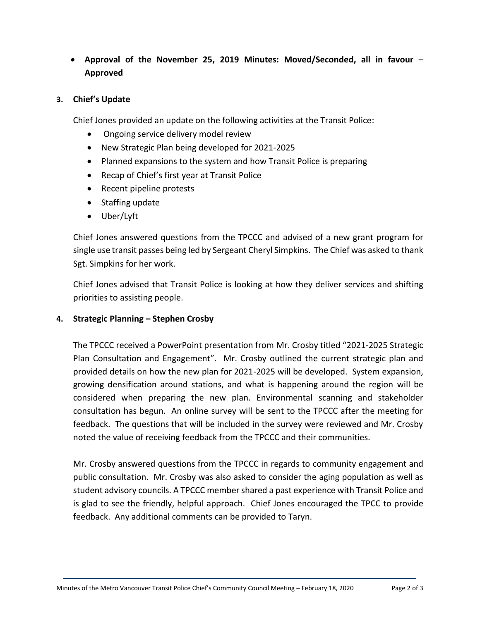**Approval of the November 25, 2019 Minutes: Moved/Seconded, all in favour** – **Approved**

## **3. Chief's Update**

Chief Jones provided an update on the following activities at the Transit Police:

- Ongoing service delivery model review
- New Strategic Plan being developed for 2021-2025
- Planned expansions to the system and how Transit Police is preparing
- Recap of Chief's first year at Transit Police
- Recent pipeline protests
- Staffing update
- Uber/Lyft

Chief Jones answered questions from the TPCCC and advised of a new grant program for single use transit passes being led by Sergeant Cheryl Simpkins. The Chief was asked to thank Sgt. Simpkins for her work.

Chief Jones advised that Transit Police is looking at how they deliver services and shifting priorities to assisting people.

## **4. Strategic Planning – Stephen Crosby**

The TPCCC received a PowerPoint presentation from Mr. Crosby titled "2021-2025 Strategic Plan Consultation and Engagement". Mr. Crosby outlined the current strategic plan and provided details on how the new plan for 2021-2025 will be developed. System expansion, growing densification around stations, and what is happening around the region will be considered when preparing the new plan. Environmental scanning and stakeholder consultation has begun. An online survey will be sent to the TPCCC after the meeting for feedback. The questions that will be included in the survey were reviewed and Mr. Crosby noted the value of receiving feedback from the TPCCC and their communities.

Mr. Crosby answered questions from the TPCCC in regards to community engagement and public consultation. Mr. Crosby was also asked to consider the aging population as well as student advisory councils. A TPCCC member shared a past experience with Transit Police and is glad to see the friendly, helpful approach. Chief Jones encouraged the TPCC to provide feedback. Any additional comments can be provided to Taryn.